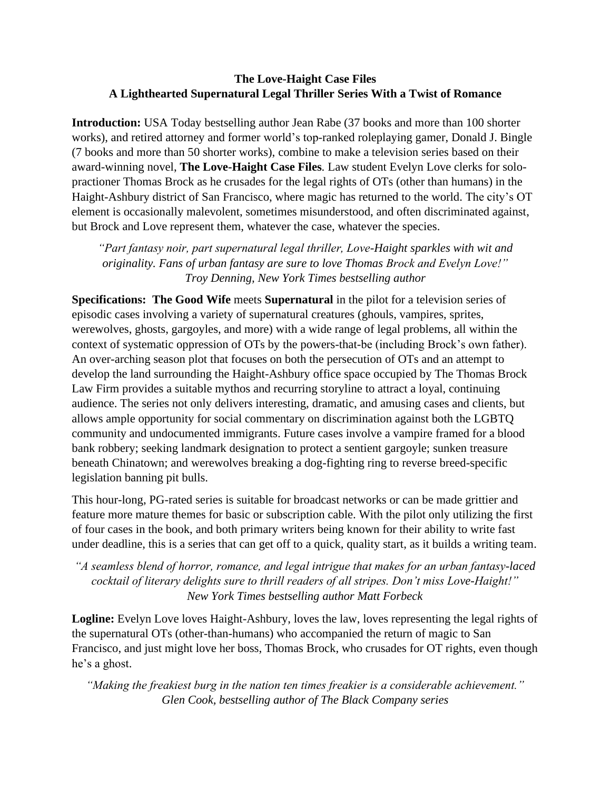## **The Love-Haight Case Files A Lighthearted Supernatural Legal Thriller Series With a Twist of Romance**

**Introduction:** USA Today bestselling author Jean Rabe (37 books and more than 100 shorter works), and retired attorney and former world's top-ranked roleplaying gamer, Donald J. Bingle (7 books and more than 50 shorter works), combine to make a television series based on their award-winning novel, **The Love-Haight Case Files***.* Law student Evelyn Love clerks for solopractioner Thomas Brock as he crusades for the legal rights of OTs (other than humans) in the Haight-Ashbury district of San Francisco, where magic has returned to the world. The city's OT element is occasionally malevolent, sometimes misunderstood, and often discriminated against, but Brock and Love represent them, whatever the case, whatever the species.

*"Part fantasy noir, part supernatural legal thriller, Love-Haight sparkles with wit and originality. Fans of urban fantasy are sure to love Thomas Brock and Evelyn Love!" Troy Denning, New York Times bestselling author*

**Specifications: The Good Wife** meets **Supernatural** in the pilot for a television series of episodic cases involving a variety of supernatural creatures (ghouls, vampires, sprites, werewolves, ghosts, gargoyles, and more) with a wide range of legal problems, all within the context of systematic oppression of OTs by the powers-that-be (including Brock's own father). An over-arching season plot that focuses on both the persecution of OTs and an attempt to develop the land surrounding the Haight-Ashbury office space occupied by The Thomas Brock Law Firm provides a suitable mythos and recurring storyline to attract a loyal, continuing audience. The series not only delivers interesting, dramatic, and amusing cases and clients, but allows ample opportunity for social commentary on discrimination against both the LGBTQ community and undocumented immigrants. Future cases involve a vampire framed for a blood bank robbery; seeking landmark designation to protect a sentient gargoyle; sunken treasure beneath Chinatown; and werewolves breaking a dog-fighting ring to reverse breed-specific legislation banning pit bulls.

This hour-long, PG-rated series is suitable for broadcast networks or can be made grittier and feature more mature themes for basic or subscription cable. With the pilot only utilizing the first of four cases in the book, and both primary writers being known for their ability to write fast under deadline, this is a series that can get off to a quick, quality start, as it builds a writing team.

*"A seamless blend of horror, romance, and legal intrigue that makes for an urban fantasy-laced cocktail of literary delights sure to thrill readers of all stripes. Don't miss Love-Haight!" New York Times bestselling author Matt Forbeck*

Logline: Evelyn Love loves Haight-Ashbury, loves the law, loves representing the legal rights of the supernatural OTs (other-than-humans) who accompanied the return of magic to San Francisco, and just might love her boss, Thomas Brock, who crusades for OT rights, even though he's a ghost.

*"Making the freakiest burg in the nation ten times freakier is a considerable achievement." Glen Cook, bestselling author of The Black Company series*